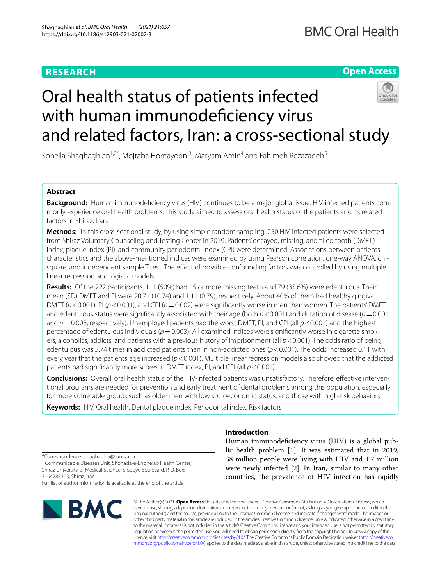## **RESEARCH**

## **Open Access**

# Oral health status of patients infected with human immunodeficiency virus and related factors, Iran: a cross-sectional study

Soheila Shaghaghian<sup>1,2\*</sup>, Mojtaba Homayooni<sup>3</sup>, Maryam Amin<sup>4</sup> and Fahimeh Rezazadeh<sup>5</sup>

## **Abstract**

**Background:** Human immunodefciency virus (HIV) continues to be a major global issue. HIV-infected patients commonly experience oral health problems. This study aimed to assess oral health status of the patients and its related factors in Shiraz, Iran.

**Methods:** In this cross-sectional study, by using simple random sampling, 250 HIV-infected patients were selected from Shiraz Voluntary Counseling and Testing Center in 2019. Patients' decayed, missing, and flled tooth (DMFT) index, plaque index (PI), and community periodontal index (CPI) were determined. Associations between patients' characteristics and the above-mentioned indices were examined by using Pearson correlation, one-way ANOVA, chisquare, and independent sample T test. The effect of possible confounding factors was controlled by using multiple linear regression and logistic models.

**Results:** Of the 222 participants, 111 (50%) had 15 or more missing teeth and 79 (35.6%) were edentulous. Their mean (SD) DMFT and PI were 20.71 (10.74) and 1.11 (0.79), respectively. About 40% of them had healthy gingiva. DMFT (*p*<0.001), PI (*p*<0.001), and CPI (*p*=0.002) were signifcantly worse in men than women. The patients' DMFT and edentulous status were significantly associated with their age (both  $p < 0.001$ ) and duration of disease ( $p = 0.001$ ) and *p*=0.008, respectively). Unemployed patients had the worst DMFT, PI, and CPI (all *p*<0.001) and the highest percentage of edentulous individuals ( $p=0.003$ ). All examined indices were significantly worse in cigarette smokers, alcoholics, addicts, and patients with a previous history of imprisonment (all *p*<0.001). The odds ratio of being edentulous was 5.74 times in addicted patients than in non-addicted ones (*p*<0.001). The odds increased 0.11 with every year that the patients' age increased (*p*<0.001). Multiple linear regression models also showed that the addicted patients had signifcantly more scores in DMFT index, PI, and CPI (all *p*<0.001).

**Conclusions:** Overall, oral health status of the HIV-infected patients was unsatisfactory. Therefore, efective interventional programs are needed for prevention and early treatment of dental problems among this population, especially for more vulnerable groups such as older men with low socioeconomic status, and those with high-risk behaviors.

**Keywords:** HIV, Oral health, Dental plaque index, Periodontal index, Risk factors

## **Introduction**

Human immunodeficiency virus (HIV) is a global public health problem [[1\]](#page-9-0). It was estimated that in 2019, 38 million people were living with HIV and 1.7 million were newly infected [\[2](#page-9-1)]. In Iran, similar to many other countries, the prevalence of HIV infection has rapidly

\*Correspondence: shaghaghia@sums.ac.ir

<sup>1</sup> Communicable Diseases Unit, Shohada-e-Enghelab Health Center, Shiraz University of Medical Science, Sibooye Boulevard, P. O. Box: 7164788363, Shiraz, Iran

Full list of author information is available at the end of the article



© The Author(s) 2021. **Open Access** This article is licensed under a Creative Commons Attribution 4.0 International License, which permits use, sharing, adaptation, distribution and reproduction in any medium or format, as long as you give appropriate credit to the original author(s) and the source, provide a link to the Creative Commons licence, and indicate if changes were made. The images or other third party material in this article are included in the article's Creative Commons licence, unless indicated otherwise in a credit line to the material. If material is not included in the article's Creative Commons licence and your intended use is not permitted by statutory regulation or exceeds the permitted use, you will need to obtain permission directly from the copyright holder. To view a copy of this licence, visit [http://creativecommons.org/licenses/by/4.0/.](http://creativecommons.org/licenses/by/4.0/) The Creative Commons Public Domain Dedication waiver ([http://creativeco](http://creativecommons.org/publicdomain/zero/1.0/) [mmons.org/publicdomain/zero/1.0/](http://creativecommons.org/publicdomain/zero/1.0/)) applies to the data made available in this article, unless otherwise stated in a credit line to the data.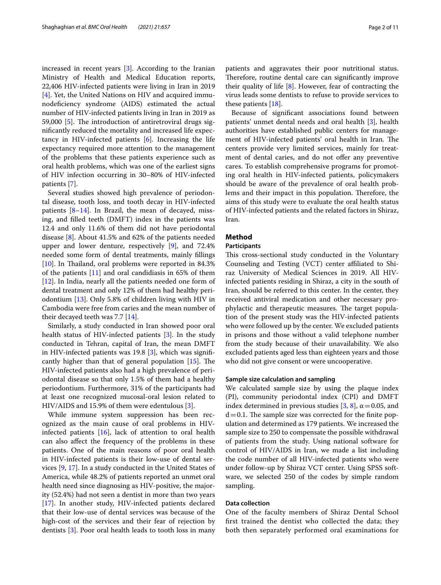increased in recent years [\[3](#page-9-2)]. According to the Iranian Ministry of Health and Medical Education reports, 22,406 HIV-infected patients were living in Iran in 2019 [[4\]](#page-9-3). Yet, the United Nations on HIV and acquired immunodefciency syndrome (AIDS) estimated the actual number of HIV-infected patients living in Iran in 2019 as 59,000  $[5]$  $[5]$ . The introduction of antiretroviral drugs signifcantly reduced the mortality and increased life expectancy in HIV-infected patients  $[6]$ . Increasing the life expectancy required more attention to the management of the problems that these patients experience such as oral health problems, which was one of the earliest signs of HIV infection occurring in 30–80% of HIV-infected patients [[7\]](#page-9-6).

Several studies showed high prevalence of periodontal disease, tooth loss, and tooth decay in HIV-infected patients  $[8-14]$  $[8-14]$ . In Brazil, the mean of decayed, missing, and flled teeth (DMFT) index in the patients was 12.4 and only 11.6% of them did not have periodontal disease [\[8\]](#page-9-7). About 41.5% and 62% of the patients needed upper and lower denture, respectively [[9\]](#page-9-9), and 72.4% needed some form of dental treatments, mainly fllings [ $10$ ]. In Thailand, oral problems were reported in 84.3% of the patients [[11](#page-9-11)] and oral candidiasis in 65% of them [[12\]](#page-9-12). In India, nearly all the patients needed one form of dental treatment and only 12% of them had healthy periodontium [\[13](#page-9-13)]. Only 5.8% of children living with HIV in Cambodia were free from caries and the mean number of their decayed teeth was 7.7 [\[14](#page-9-8)].

Similarly, a study conducted in Iran showed poor oral health status of HIV-infected patients [\[3](#page-9-2)]. In the study conducted in Tehran, capital of Iran, the mean DMFT in HIV-infected patients was 19.8 [\[3](#page-9-2)], which was signifcantly higher than that of general population  $[15]$  $[15]$ . The HIV-infected patients also had a high prevalence of periodontal disease so that only 1.5% of them had a healthy periodontium. Furthermore, 31% of the participants had at least one recognized mucosal-oral lesion related to HIV/AIDS and 15.9% of them were edentulous [\[3\]](#page-9-2).

While immune system suppression has been recognized as the main cause of oral problems in HIVinfected patients  $[16]$  $[16]$ , lack of attention to oral health can also afect the frequency of the problems in these patients. One of the main reasons of poor oral health in HIV-infected patients is their low-use of dental services [\[9](#page-9-9), [17\]](#page-9-16). In a study conducted in the United States of America, while 48.2% of patients reported an unmet oral health need since diagnosing as HIV-positive, the majority (52.4%) had not seen a dentist in more than two years [[17\]](#page-9-16). In another study, HIV-infected patients declared that their low-use of dental services was because of the high-cost of the services and their fear of rejection by dentists [[3\]](#page-9-2). Poor oral health leads to tooth loss in many

patients and aggravates their poor nutritional status. Therefore, routine dental care can significantly improve their quality of life [\[8](#page-9-7)]. However, fear of contracting the virus leads some dentists to refuse to provide services to these patients [[18](#page-9-17)].

Because of signifcant associations found between patients' unmet dental needs and oral health [\[3](#page-9-2)], health authorities have established public centers for management of HIV-infected patients' oral health in Iran. The centers provide very limited services, mainly for treatment of dental caries, and do not offer any preventive cares. To establish comprehensive programs for promoting oral health in HIV-infected patients, policymakers should be aware of the prevalence of oral health problems and their impact in this population. Therefore, the aims of this study were to evaluate the oral health status of HIV-infected patients and the related factors in Shiraz, Iran.

## **Method**

## **Participants**

This cross-sectional study conducted in the Voluntary Counseling and Testing (VCT) center afliated to Shiraz University of Medical Sciences in 2019. All HIVinfected patients residing in Shiraz, a city in the south of Iran, should be referred to this center. In the center, they received antiviral medication and other necessary prophylactic and therapeutic measures. The target population of the present study was the HIV-infected patients who were followed up by the center. We excluded patients in prisons and those without a valid telephone number from the study because of their unavailability. We also excluded patients aged less than eighteen years and those who did not give consent or were uncooperative.

#### **Sample size calculation and sampling**

We calculated sample size by using the plaque index (PI), community periodontal index (CPI) and DMFT index determined in previous studies [\[3](#page-9-2), [8\]](#page-9-7),  $\alpha$  = 0.05, and  $d=0.1$ . The sample size was corrected for the finite population and determined as 179 patients. We increased the sample size to 250 to compensate the possible withdrawal of patients from the study. Using national software for control of HIV/AIDS in Iran, we made a list including the code number of all HIV-infected patients who were under follow-up by Shiraz VCT center. Using SPSS software, we selected 250 of the codes by simple random sampling.

## <span id="page-1-0"></span>**Data collection**

One of the faculty members of Shiraz Dental School frst trained the dentist who collected the data; they both then separately performed oral examinations for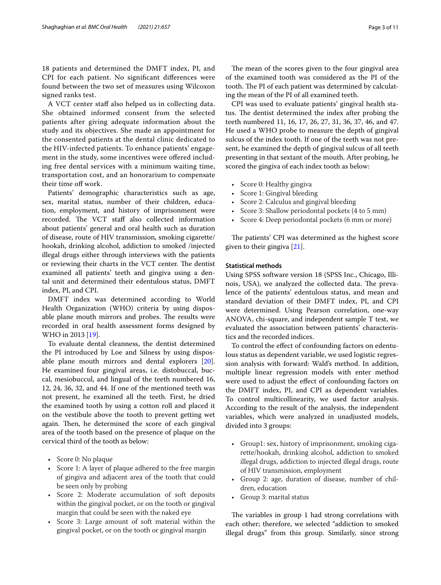18 patients and determined the DMFT index, PI, and CPI for each patient. No signifcant diferences were found between the two set of measures using Wilcoxon signed ranks test.

A VCT center staff also helped us in collecting data. She obtained informed consent from the selected patients after giving adequate information about the study and its objectives. She made an appointment for the consented patients at the dental clinic dedicated to the HIV-infected patients. To enhance patients' engagement in the study, some incentives were offered including free dental services with a minimum waiting time, transportation cost, and an honorarium to compensate their time off work.

Patients' demographic characteristics such as age, sex, marital status, number of their children, education, employment, and history of imprisonment were recorded. The VCT staff also collected information about patients' general and oral health such as duration of disease, route of HIV transmission, smoking cigarette/ hookah, drinking alcohol, addiction to smoked /injected illegal drugs either through interviews with the patients or reviewing their charts in the VCT center. The dentist examined all patients' teeth and gingiva using a dental unit and determined their edentulous status, DMFT index, PI, and CPI.

DMFT index was determined according to World Health Organization (WHO) criteria by using disposable plane mouth mirrors and probes. The results were recorded in oral health assessment forms designed by WHO in 2013 [[19\]](#page-10-0).

To evaluate dental cleanness, the dentist determined the PI introduced by Loe and Silness by using disposable plane mouth mirrors and dental explorers [\[20](#page-10-1)]. He examined four gingival areas, i.e. distobuccal, buccal, mesiobuccul, and lingual of the teeth numbered 16, 12, 24, 36, 32, and 44. If one of the mentioned teeth was not present, he examined all the teeth. First, he dried the examined tooth by using a cotton roll and placed it on the vestibule above the tooth to prevent getting wet again. Then, he determined the score of each gingival area of the tooth based on the presence of plaque on the cervical third of the tooth as below:

- Score 0: No plaque
- Score 1: A layer of plaque adhered to the free margin of gingiva and adjacent area of the tooth that could be seen only by probing
- Score 2: Moderate accumulation of soft deposits within the gingival pocket, or on the tooth or gingival margin that could be seen with the naked eye
- Score 3: Large amount of soft material within the gingival pocket, or on the tooth or gingival margin

The mean of the scores given to the four gingival area of the examined tooth was considered as the PI of the tooth. The PI of each patient was determined by calculating the mean of the PI of all examined teeth.

CPI was used to evaluate patients' gingival health status. The dentist determined the index after probing the teeth numbered 11, 16, 17, 26, 27, 31, 36, 37, 46, and 47. He used a WHO probe to measure the depth of gingival sulcus of the index tooth. If one of the teeth was not present, he examined the depth of gingival sulcus of all teeth presenting in that sextant of the mouth. After probing, he scored the gingiva of each index tooth as below:

- Score 0: Healthy gingiva
- Score 1: Gingival bleeding
- Score 2: Calculus and gingival bleeding
- Score 3: Shallow periodontal pockets (4 to 5 mm)
- Score 4: Deep periodontal pockets (6 mm or more)

The patients' CPI was determined as the highest score given to their gingiva [\[21](#page-10-2)].

## **Statistical methods**

Using SPSS software version 18 (SPSS Inc., Chicago, Illinois, USA), we analyzed the collected data. The prevalence of the patients' edentulous status, and mean and standard deviation of their DMFT index, PI, and CPI were determined. Using Pearson correlation, one-way ANOVA, chi-square, and independent sample T test, we evaluated the association between patients' characteristics and the recorded indices.

To control the efect of confounding factors on edentulous status as dependent variable, we used logistic regression analysis with forward: Wald's method. In addition, multiple linear regression models with enter method were used to adjust the efect of confounding factors on the DMFT index, PI, and CPI as dependent variables. To control multicollinearity, we used factor analysis. According to the result of the analysis, the independent variables, which were analyzed in unadjusted models, divided into 3 groups:

- Group1: sex, history of imprisonment, smoking cigarette/hookah, drinking alcohol, addiction to smoked illegal drugs, addiction to injected illegal drugs, route of HIV transmission, employment
- Group 2: age, duration of disease, number of children, education
- Group 3: marital status

The variables in group 1 had strong correlations with each other; therefore, we selected "addiction to smoked illegal drugs" from this group. Similarly, since strong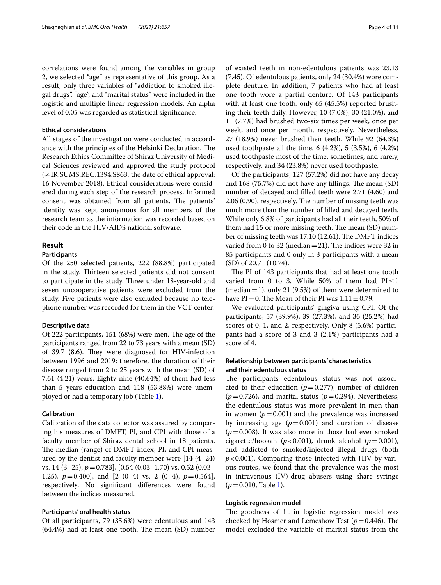correlations were found among the variables in group 2, we selected "age" as representative of this group. As a result, only three variables of "addiction to smoked illegal drugs", "age", and "marital status" were included in the logistic and multiple linear regression models. An alpha level of 0.05 was regarded as statistical signifcance.

### **Ethical considerations**

All stages of the investigation were conducted in accordance with the principles of the Helsinki Declaration. The Research Ethics Committee of Shiraz University of Medical Sciences reviewed and approved the study protocol  $\neq$  IR.SUMS.REC.1394.S863, the date of ethical approval: 16 November 2018). Ethical considerations were considered during each step of the research process. Informed consent was obtained from all patients. The patients' identity was kept anonymous for all members of the research team as the information was recorded based on their code in the HIV/AIDS national software.

## **Result**

## **Participants**

Of the 250 selected patients, 222 (88.8%) participated in the study. Thirteen selected patients did not consent to participate in the study. Three under 18-year-old and seven uncooperative patients were excluded from the study. Five patients were also excluded because no telephone number was recorded for them in the VCT center.

#### **Descriptive data**

Of 222 participants,  $151$  (68%) were men. The age of the participants ranged from 22 to 73 years with a mean (SD) of 39.7 (8.6). They were diagnosed for HIV-infection between 1996 and 2019; therefore, the duration of their disease ranged from 2 to 25 years with the mean (SD) of 7.61 (4.21) years. Eighty-nine (40.64%) of them had less than 5 years education and 118 (53.88%) were unemployed or had a temporary job (Table [1](#page-4-0)).

## **Calibration**

Calibration of the data collector was assured by comparing his measures of DMFT, PI, and CPI with those of a faculty member of Shiraz dental school in 18 patients. The median (range) of DMFT index, PI, and CPI measured by the dentist and faculty member were [14 (4–24) vs. 14 (3–25), *p*=0.783], [0.54 (0.03–1.70) vs. 0.52 (0.03– 1.25),  $p=0.400$ ], and  $[2(0-4)$  vs. 2 $(0-4)$ ,  $p=0.564$ ], respectively. No signifcant diferences were found between the indices measured.

## **Participants' oral health status**

Of all participants, 79 (35.6%) were edentulous and 143  $(64.4%)$  had at least one tooth. The mean  $(SD)$  number of existed teeth in non-edentulous patients was 23.13 (7.45). Of edentulous patients, only 24 (30.4%) wore complete denture. In addition, 7 patients who had at least one tooth wore a partial denture. Of 143 participants with at least one tooth, only 65 (45.5%) reported brushing their teeth daily. However, 10 (7.0%), 30 (21.0%), and 11 (7.7%) had brushed two-six times per week, once per week, and once per month, respectively. Nevertheless, 27 (18.9%) never brushed their teeth. While 92 (64.3%) used toothpaste all the time, 6 (4.2%), 5 (3.5%), 6 (4.2%) used toothpaste most of the time, sometimes, and rarely, respectively, and 34 (23.8%) never used toothpaste.

Of the participants, 127 (57.2%) did not have any decay and 168 (75.7%) did not have any fillings. The mean  $(SD)$ number of decayed and flled teeth were 2.71 (4.60) and 2.06 (0.90), respectively. The number of missing teeth was much more than the number of flled and decayed teeth. While only 6.8% of participants had all their teeth, 50% of them had 15 or more missing teeth. The mean (SD) number of missing teeth was 17.10 (12.61). The DMFT indices varied from 0 to 32 (median = 21). The indices were 32 in 85 participants and 0 only in 3 participants with a mean (SD) of 20.71 (10.74).

The PI of 143 participants that had at least one tooth varied from 0 to 3. While 50% of them had  $PI \le 1$ (median = 1), only 21 (9.5%) of them were determined to have PI=0. The Mean of their PI was  $1.11 \pm 0.79$ .

We evaluated participants' gingiva using CPI. Of the participants, 57 (39.9%), 39 (27.3%), and 36 (25.2%) had scores of 0, 1, and 2, respectively. Only 8 (5.6%) participants had a score of 3 and 3 (2.1%) participants had a score of 4.

## **Relationship between participants' characteristics and their edentulous status**

The participants edentulous status was not associated to their education  $(p=0.277)$ , number of children  $(p=0.726)$ , and marital status  $(p=0.294)$ . Nevertheless, the edentulous status was more prevalent in men than in women  $(p=0.001)$  and the prevalence was increased by increasing age  $(p=0.001)$  and duration of disease  $(p=0.008)$ . It was also more in those had ever smoked cigarette/hookah ( $p < 0.001$ ), drunk alcohol ( $p = 0.001$ ), and addicted to smoked/injected illegal drugs (both *p*<0.001). Comparing those infected with HIV by various routes, we found that the prevalence was the most in intravenous (IV)-drug abusers using share syringe (*p*=0.010, Table [1](#page-4-0)).

### **Logistic regression model**

The goodness of fit in logistic regression model was checked by Hosmer and Lemeshow Test ( $p = 0.446$ ). The model excluded the variable of marital status from the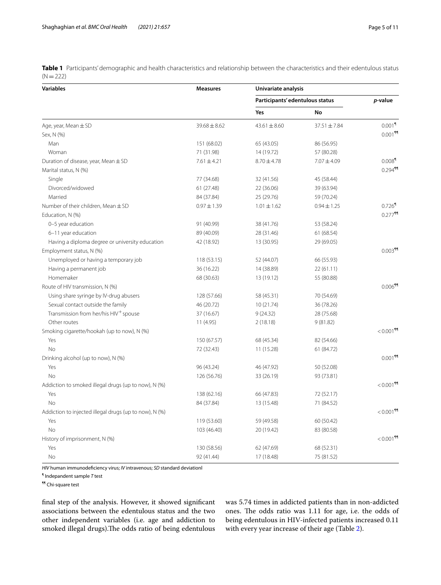<span id="page-4-0"></span>**Table 1** Participants' demographic and health characteristics and relationship between the characteristics and their edentulous status  $(N=222)$ 

| p-value<br>Participants' edentulous status<br>Yes<br>No<br>$0.001$ <sup>1</sup><br>Age, year, Mean $\pm$ SD<br>$39.68 \pm 8.62$<br>$37.51 \pm 7.84$<br>$43.61 \pm 8.60$<br>Sex, N (%)<br>Man<br>151 (68.02)<br>65 (43.05)<br>86 (56.95)<br>71 (31.98)<br>57 (80.28)<br>Woman<br>14 (19.72)<br>$0.008$ <sup>1</sup><br>Duration of disease, year, Mean $\pm$ SD<br>$7.07 \pm 4.09$<br>$7.61 \pm 4.21$<br>$8.70 \pm 4.78$<br>$0.294$ <sup>11</sup><br>Marital status, N (%)<br>Single<br>77 (34.68)<br>32 (41.56)<br>45 (58.44)<br>Divorced/widowed<br>61 (27.48)<br>22 (36.06)<br>39 (63.94)<br>Married<br>84 (37.84)<br>25 (29.76)<br>59 (70.24)<br>$0.726$ <sup>1</sup><br>Number of their children, Mean ± SD<br>$0.97 \pm 1.39$<br>$1.01 \pm 1.62$<br>$0.94 \pm 1.25$<br>$0.277$ <sup>11</sup><br>Education, N (%)<br>0-5 year education<br>91 (40.99)<br>38 (41.76)<br>53 (58.24)<br>6-11 year education<br>89 (40.09)<br>28 (31.46)<br>61 (68.54)<br>Having a diploma degree or university education<br>42 (18.92)<br>13 (30.95)<br>29 (69.05)<br>Employment status, N (%)<br>Unemployed or having a temporary job<br>118 (53.15)<br>52 (44.07)<br>66 (55.93)<br>Having a permanent job<br>36 (16.22)<br>14 (38.89)<br>22(61.11)<br>Homemaker<br>68 (30.63)<br>13 (19.12)<br>55 (80.88)<br>$0.006$ <sup>11</sup><br>Route of HIV transmission, N (%)<br>Using share syringe by IV-drug abusers<br>128 (57.66)<br>58 (45.31)<br>70 (54.69)<br>Sexual contact outside the family<br>46 (20.72)<br>10(21.74)<br>36 (78.26)<br>Transmission from her/his HIV <sup>+</sup> spouse<br>37 (16.67)<br>9(24.32)<br>28 (75.68)<br>Other routes<br>9(81.82)<br>11 (4.95)<br>2(18.18)<br>$< 0.001$ <sup>11</sup><br>Smoking cigarette/hookah (up to now), N (%)<br>Yes<br>82 (54.66)<br>150 (67.57)<br>68 (45.34)<br><b>No</b><br>72 (32.43)<br>11 (15.28)<br>61 (84.72)<br>$0.001$ <sup>99</sup><br>Drinking alcohol (up to now), N (%)<br>Yes<br>96 (43.24)<br>46 (47.92)<br>50 (52.08)<br>No<br>126 (56.76)<br>33 (26.19)<br>93 (73.81)<br>$< 0.001$ <sup>11</sup><br>Addiction to smoked illegal drugs (up to now), N (%)<br>66 (47.83)<br>Yes<br>138 (62.16)<br>72 (52.17)<br>No<br>84 (37.84)<br>13 (15.48)<br>71 (84.52)<br>$< 0.001$ <sup>44</sup><br>Addiction to injected illegal drugs (up to now), N (%)<br>119 (53.60)<br>59 (49.58)<br>60 (50.42)<br>Yes<br>No<br>103 (46.40)<br>20 (19.42)<br>83 (80.58)<br>$< 0.001$ <sup>99</sup><br>History of imprisonment, N (%)<br>Yes<br>130 (58.56)<br>62 (47.69)<br>68 (52.31)<br><b>No</b> | <b>Variables</b> | <b>Measures</b> | Univariate analysis |            |                       |  |  |
|----------------------------------------------------------------------------------------------------------------------------------------------------------------------------------------------------------------------------------------------------------------------------------------------------------------------------------------------------------------------------------------------------------------------------------------------------------------------------------------------------------------------------------------------------------------------------------------------------------------------------------------------------------------------------------------------------------------------------------------------------------------------------------------------------------------------------------------------------------------------------------------------------------------------------------------------------------------------------------------------------------------------------------------------------------------------------------------------------------------------------------------------------------------------------------------------------------------------------------------------------------------------------------------------------------------------------------------------------------------------------------------------------------------------------------------------------------------------------------------------------------------------------------------------------------------------------------------------------------------------------------------------------------------------------------------------------------------------------------------------------------------------------------------------------------------------------------------------------------------------------------------------------------------------------------------------------------------------------------------------------------------------------------------------------------------------------------------------------------------------------------------------------------------------------------------------------------------------------------------------------------------------------------------------------------------------------------------------------------------------------------------------------------------------------------------------------------------------------------------------------------------------------------------------|------------------|-----------------|---------------------|------------|-----------------------|--|--|
|                                                                                                                                                                                                                                                                                                                                                                                                                                                                                                                                                                                                                                                                                                                                                                                                                                                                                                                                                                                                                                                                                                                                                                                                                                                                                                                                                                                                                                                                                                                                                                                                                                                                                                                                                                                                                                                                                                                                                                                                                                                                                                                                                                                                                                                                                                                                                                                                                                                                                                                                              |                  |                 |                     |            |                       |  |  |
|                                                                                                                                                                                                                                                                                                                                                                                                                                                                                                                                                                                                                                                                                                                                                                                                                                                                                                                                                                                                                                                                                                                                                                                                                                                                                                                                                                                                                                                                                                                                                                                                                                                                                                                                                                                                                                                                                                                                                                                                                                                                                                                                                                                                                                                                                                                                                                                                                                                                                                                                              |                  |                 |                     |            |                       |  |  |
|                                                                                                                                                                                                                                                                                                                                                                                                                                                                                                                                                                                                                                                                                                                                                                                                                                                                                                                                                                                                                                                                                                                                                                                                                                                                                                                                                                                                                                                                                                                                                                                                                                                                                                                                                                                                                                                                                                                                                                                                                                                                                                                                                                                                                                                                                                                                                                                                                                                                                                                                              |                  |                 |                     |            |                       |  |  |
|                                                                                                                                                                                                                                                                                                                                                                                                                                                                                                                                                                                                                                                                                                                                                                                                                                                                                                                                                                                                                                                                                                                                                                                                                                                                                                                                                                                                                                                                                                                                                                                                                                                                                                                                                                                                                                                                                                                                                                                                                                                                                                                                                                                                                                                                                                                                                                                                                                                                                                                                              |                  |                 |                     |            | $0.001$ <sup>11</sup> |  |  |
|                                                                                                                                                                                                                                                                                                                                                                                                                                                                                                                                                                                                                                                                                                                                                                                                                                                                                                                                                                                                                                                                                                                                                                                                                                                                                                                                                                                                                                                                                                                                                                                                                                                                                                                                                                                                                                                                                                                                                                                                                                                                                                                                                                                                                                                                                                                                                                                                                                                                                                                                              |                  |                 |                     |            |                       |  |  |
|                                                                                                                                                                                                                                                                                                                                                                                                                                                                                                                                                                                                                                                                                                                                                                                                                                                                                                                                                                                                                                                                                                                                                                                                                                                                                                                                                                                                                                                                                                                                                                                                                                                                                                                                                                                                                                                                                                                                                                                                                                                                                                                                                                                                                                                                                                                                                                                                                                                                                                                                              |                  |                 |                     |            |                       |  |  |
|                                                                                                                                                                                                                                                                                                                                                                                                                                                                                                                                                                                                                                                                                                                                                                                                                                                                                                                                                                                                                                                                                                                                                                                                                                                                                                                                                                                                                                                                                                                                                                                                                                                                                                                                                                                                                                                                                                                                                                                                                                                                                                                                                                                                                                                                                                                                                                                                                                                                                                                                              |                  |                 |                     |            |                       |  |  |
|                                                                                                                                                                                                                                                                                                                                                                                                                                                                                                                                                                                                                                                                                                                                                                                                                                                                                                                                                                                                                                                                                                                                                                                                                                                                                                                                                                                                                                                                                                                                                                                                                                                                                                                                                                                                                                                                                                                                                                                                                                                                                                                                                                                                                                                                                                                                                                                                                                                                                                                                              |                  |                 |                     |            |                       |  |  |
|                                                                                                                                                                                                                                                                                                                                                                                                                                                                                                                                                                                                                                                                                                                                                                                                                                                                                                                                                                                                                                                                                                                                                                                                                                                                                                                                                                                                                                                                                                                                                                                                                                                                                                                                                                                                                                                                                                                                                                                                                                                                                                                                                                                                                                                                                                                                                                                                                                                                                                                                              |                  |                 |                     |            |                       |  |  |
|                                                                                                                                                                                                                                                                                                                                                                                                                                                                                                                                                                                                                                                                                                                                                                                                                                                                                                                                                                                                                                                                                                                                                                                                                                                                                                                                                                                                                                                                                                                                                                                                                                                                                                                                                                                                                                                                                                                                                                                                                                                                                                                                                                                                                                                                                                                                                                                                                                                                                                                                              |                  |                 |                     |            |                       |  |  |
|                                                                                                                                                                                                                                                                                                                                                                                                                                                                                                                                                                                                                                                                                                                                                                                                                                                                                                                                                                                                                                                                                                                                                                                                                                                                                                                                                                                                                                                                                                                                                                                                                                                                                                                                                                                                                                                                                                                                                                                                                                                                                                                                                                                                                                                                                                                                                                                                                                                                                                                                              |                  |                 |                     |            |                       |  |  |
|                                                                                                                                                                                                                                                                                                                                                                                                                                                                                                                                                                                                                                                                                                                                                                                                                                                                                                                                                                                                                                                                                                                                                                                                                                                                                                                                                                                                                                                                                                                                                                                                                                                                                                                                                                                                                                                                                                                                                                                                                                                                                                                                                                                                                                                                                                                                                                                                                                                                                                                                              |                  |                 |                     |            |                       |  |  |
|                                                                                                                                                                                                                                                                                                                                                                                                                                                                                                                                                                                                                                                                                                                                                                                                                                                                                                                                                                                                                                                                                                                                                                                                                                                                                                                                                                                                                                                                                                                                                                                                                                                                                                                                                                                                                                                                                                                                                                                                                                                                                                                                                                                                                                                                                                                                                                                                                                                                                                                                              |                  |                 |                     |            |                       |  |  |
|                                                                                                                                                                                                                                                                                                                                                                                                                                                                                                                                                                                                                                                                                                                                                                                                                                                                                                                                                                                                                                                                                                                                                                                                                                                                                                                                                                                                                                                                                                                                                                                                                                                                                                                                                                                                                                                                                                                                                                                                                                                                                                                                                                                                                                                                                                                                                                                                                                                                                                                                              |                  |                 |                     |            |                       |  |  |
|                                                                                                                                                                                                                                                                                                                                                                                                                                                                                                                                                                                                                                                                                                                                                                                                                                                                                                                                                                                                                                                                                                                                                                                                                                                                                                                                                                                                                                                                                                                                                                                                                                                                                                                                                                                                                                                                                                                                                                                                                                                                                                                                                                                                                                                                                                                                                                                                                                                                                                                                              |                  |                 |                     |            |                       |  |  |
|                                                                                                                                                                                                                                                                                                                                                                                                                                                                                                                                                                                                                                                                                                                                                                                                                                                                                                                                                                                                                                                                                                                                                                                                                                                                                                                                                                                                                                                                                                                                                                                                                                                                                                                                                                                                                                                                                                                                                                                                                                                                                                                                                                                                                                                                                                                                                                                                                                                                                                                                              |                  |                 |                     |            |                       |  |  |
|                                                                                                                                                                                                                                                                                                                                                                                                                                                                                                                                                                                                                                                                                                                                                                                                                                                                                                                                                                                                                                                                                                                                                                                                                                                                                                                                                                                                                                                                                                                                                                                                                                                                                                                                                                                                                                                                                                                                                                                                                                                                                                                                                                                                                                                                                                                                                                                                                                                                                                                                              |                  |                 |                     |            | $0.003$ <sup>99</sup> |  |  |
|                                                                                                                                                                                                                                                                                                                                                                                                                                                                                                                                                                                                                                                                                                                                                                                                                                                                                                                                                                                                                                                                                                                                                                                                                                                                                                                                                                                                                                                                                                                                                                                                                                                                                                                                                                                                                                                                                                                                                                                                                                                                                                                                                                                                                                                                                                                                                                                                                                                                                                                                              |                  |                 |                     |            |                       |  |  |
|                                                                                                                                                                                                                                                                                                                                                                                                                                                                                                                                                                                                                                                                                                                                                                                                                                                                                                                                                                                                                                                                                                                                                                                                                                                                                                                                                                                                                                                                                                                                                                                                                                                                                                                                                                                                                                                                                                                                                                                                                                                                                                                                                                                                                                                                                                                                                                                                                                                                                                                                              |                  |                 |                     |            |                       |  |  |
|                                                                                                                                                                                                                                                                                                                                                                                                                                                                                                                                                                                                                                                                                                                                                                                                                                                                                                                                                                                                                                                                                                                                                                                                                                                                                                                                                                                                                                                                                                                                                                                                                                                                                                                                                                                                                                                                                                                                                                                                                                                                                                                                                                                                                                                                                                                                                                                                                                                                                                                                              |                  |                 |                     |            |                       |  |  |
|                                                                                                                                                                                                                                                                                                                                                                                                                                                                                                                                                                                                                                                                                                                                                                                                                                                                                                                                                                                                                                                                                                                                                                                                                                                                                                                                                                                                                                                                                                                                                                                                                                                                                                                                                                                                                                                                                                                                                                                                                                                                                                                                                                                                                                                                                                                                                                                                                                                                                                                                              |                  |                 |                     |            |                       |  |  |
|                                                                                                                                                                                                                                                                                                                                                                                                                                                                                                                                                                                                                                                                                                                                                                                                                                                                                                                                                                                                                                                                                                                                                                                                                                                                                                                                                                                                                                                                                                                                                                                                                                                                                                                                                                                                                                                                                                                                                                                                                                                                                                                                                                                                                                                                                                                                                                                                                                                                                                                                              |                  |                 |                     |            |                       |  |  |
|                                                                                                                                                                                                                                                                                                                                                                                                                                                                                                                                                                                                                                                                                                                                                                                                                                                                                                                                                                                                                                                                                                                                                                                                                                                                                                                                                                                                                                                                                                                                                                                                                                                                                                                                                                                                                                                                                                                                                                                                                                                                                                                                                                                                                                                                                                                                                                                                                                                                                                                                              |                  |                 |                     |            |                       |  |  |
|                                                                                                                                                                                                                                                                                                                                                                                                                                                                                                                                                                                                                                                                                                                                                                                                                                                                                                                                                                                                                                                                                                                                                                                                                                                                                                                                                                                                                                                                                                                                                                                                                                                                                                                                                                                                                                                                                                                                                                                                                                                                                                                                                                                                                                                                                                                                                                                                                                                                                                                                              |                  |                 |                     |            |                       |  |  |
|                                                                                                                                                                                                                                                                                                                                                                                                                                                                                                                                                                                                                                                                                                                                                                                                                                                                                                                                                                                                                                                                                                                                                                                                                                                                                                                                                                                                                                                                                                                                                                                                                                                                                                                                                                                                                                                                                                                                                                                                                                                                                                                                                                                                                                                                                                                                                                                                                                                                                                                                              |                  |                 |                     |            |                       |  |  |
|                                                                                                                                                                                                                                                                                                                                                                                                                                                                                                                                                                                                                                                                                                                                                                                                                                                                                                                                                                                                                                                                                                                                                                                                                                                                                                                                                                                                                                                                                                                                                                                                                                                                                                                                                                                                                                                                                                                                                                                                                                                                                                                                                                                                                                                                                                                                                                                                                                                                                                                                              |                  |                 |                     |            |                       |  |  |
|                                                                                                                                                                                                                                                                                                                                                                                                                                                                                                                                                                                                                                                                                                                                                                                                                                                                                                                                                                                                                                                                                                                                                                                                                                                                                                                                                                                                                                                                                                                                                                                                                                                                                                                                                                                                                                                                                                                                                                                                                                                                                                                                                                                                                                                                                                                                                                                                                                                                                                                                              |                  |                 |                     |            |                       |  |  |
|                                                                                                                                                                                                                                                                                                                                                                                                                                                                                                                                                                                                                                                                                                                                                                                                                                                                                                                                                                                                                                                                                                                                                                                                                                                                                                                                                                                                                                                                                                                                                                                                                                                                                                                                                                                                                                                                                                                                                                                                                                                                                                                                                                                                                                                                                                                                                                                                                                                                                                                                              |                  |                 |                     |            |                       |  |  |
|                                                                                                                                                                                                                                                                                                                                                                                                                                                                                                                                                                                                                                                                                                                                                                                                                                                                                                                                                                                                                                                                                                                                                                                                                                                                                                                                                                                                                                                                                                                                                                                                                                                                                                                                                                                                                                                                                                                                                                                                                                                                                                                                                                                                                                                                                                                                                                                                                                                                                                                                              |                  |                 |                     |            |                       |  |  |
|                                                                                                                                                                                                                                                                                                                                                                                                                                                                                                                                                                                                                                                                                                                                                                                                                                                                                                                                                                                                                                                                                                                                                                                                                                                                                                                                                                                                                                                                                                                                                                                                                                                                                                                                                                                                                                                                                                                                                                                                                                                                                                                                                                                                                                                                                                                                                                                                                                                                                                                                              |                  |                 |                     |            |                       |  |  |
|                                                                                                                                                                                                                                                                                                                                                                                                                                                                                                                                                                                                                                                                                                                                                                                                                                                                                                                                                                                                                                                                                                                                                                                                                                                                                                                                                                                                                                                                                                                                                                                                                                                                                                                                                                                                                                                                                                                                                                                                                                                                                                                                                                                                                                                                                                                                                                                                                                                                                                                                              |                  |                 |                     |            |                       |  |  |
|                                                                                                                                                                                                                                                                                                                                                                                                                                                                                                                                                                                                                                                                                                                                                                                                                                                                                                                                                                                                                                                                                                                                                                                                                                                                                                                                                                                                                                                                                                                                                                                                                                                                                                                                                                                                                                                                                                                                                                                                                                                                                                                                                                                                                                                                                                                                                                                                                                                                                                                                              |                  |                 |                     |            |                       |  |  |
|                                                                                                                                                                                                                                                                                                                                                                                                                                                                                                                                                                                                                                                                                                                                                                                                                                                                                                                                                                                                                                                                                                                                                                                                                                                                                                                                                                                                                                                                                                                                                                                                                                                                                                                                                                                                                                                                                                                                                                                                                                                                                                                                                                                                                                                                                                                                                                                                                                                                                                                                              |                  |                 |                     |            |                       |  |  |
|                                                                                                                                                                                                                                                                                                                                                                                                                                                                                                                                                                                                                                                                                                                                                                                                                                                                                                                                                                                                                                                                                                                                                                                                                                                                                                                                                                                                                                                                                                                                                                                                                                                                                                                                                                                                                                                                                                                                                                                                                                                                                                                                                                                                                                                                                                                                                                                                                                                                                                                                              |                  |                 |                     |            |                       |  |  |
|                                                                                                                                                                                                                                                                                                                                                                                                                                                                                                                                                                                                                                                                                                                                                                                                                                                                                                                                                                                                                                                                                                                                                                                                                                                                                                                                                                                                                                                                                                                                                                                                                                                                                                                                                                                                                                                                                                                                                                                                                                                                                                                                                                                                                                                                                                                                                                                                                                                                                                                                              |                  |                 |                     |            |                       |  |  |
|                                                                                                                                                                                                                                                                                                                                                                                                                                                                                                                                                                                                                                                                                                                                                                                                                                                                                                                                                                                                                                                                                                                                                                                                                                                                                                                                                                                                                                                                                                                                                                                                                                                                                                                                                                                                                                                                                                                                                                                                                                                                                                                                                                                                                                                                                                                                                                                                                                                                                                                                              |                  |                 |                     |            |                       |  |  |
|                                                                                                                                                                                                                                                                                                                                                                                                                                                                                                                                                                                                                                                                                                                                                                                                                                                                                                                                                                                                                                                                                                                                                                                                                                                                                                                                                                                                                                                                                                                                                                                                                                                                                                                                                                                                                                                                                                                                                                                                                                                                                                                                                                                                                                                                                                                                                                                                                                                                                                                                              |                  |                 |                     |            |                       |  |  |
|                                                                                                                                                                                                                                                                                                                                                                                                                                                                                                                                                                                                                                                                                                                                                                                                                                                                                                                                                                                                                                                                                                                                                                                                                                                                                                                                                                                                                                                                                                                                                                                                                                                                                                                                                                                                                                                                                                                                                                                                                                                                                                                                                                                                                                                                                                                                                                                                                                                                                                                                              |                  |                 |                     |            |                       |  |  |
|                                                                                                                                                                                                                                                                                                                                                                                                                                                                                                                                                                                                                                                                                                                                                                                                                                                                                                                                                                                                                                                                                                                                                                                                                                                                                                                                                                                                                                                                                                                                                                                                                                                                                                                                                                                                                                                                                                                                                                                                                                                                                                                                                                                                                                                                                                                                                                                                                                                                                                                                              |                  |                 |                     |            |                       |  |  |
|                                                                                                                                                                                                                                                                                                                                                                                                                                                                                                                                                                                                                                                                                                                                                                                                                                                                                                                                                                                                                                                                                                                                                                                                                                                                                                                                                                                                                                                                                                                                                                                                                                                                                                                                                                                                                                                                                                                                                                                                                                                                                                                                                                                                                                                                                                                                                                                                                                                                                                                                              |                  | 92 (41.44)      | 17 (18.48)          | 75 (81.52) |                       |  |  |

*HIV* human immunodefciency virus; *IV* intravenous; *SD* standard deviationl

¶ Indepandent sample *T* test

¶¶ Chi-square test

fnal step of the analysis. However, it showed signifcant associations between the edentulous status and the two other independent variables (i.e. age and addiction to smoked illegal drugs). The odds ratio of being edentulous was 5.74 times in addicted patients than in non-addicted ones. The odds ratio was 1.11 for age, i.e. the odds of being edentulous in HIV-infected patients increased 0.11 with every year increase of their age (Table [2](#page-5-0)).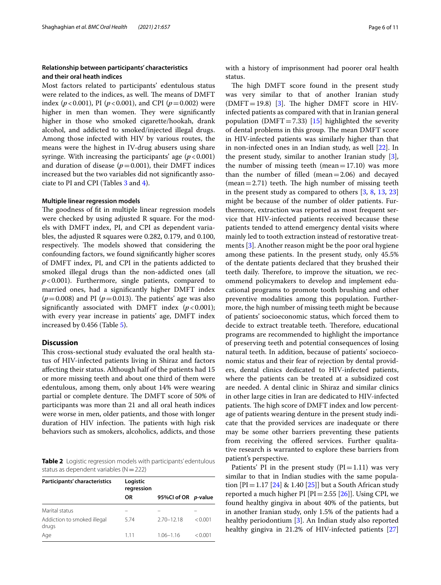## **Relationship between participants' characteristics and their oral heath indices**

Most factors related to participants' edentulous status were related to the indices, as well. The means of DMFT index ( $p < 0.001$ ), PI ( $p < 0.001$ ), and CPI ( $p = 0.002$ ) were higher in men than women. They were significantly higher in those who smoked cigarette/hookah, drank alcohol, and addicted to smoked/injected illegal drugs. Among those infected with HIV by various routes, the means were the highest in IV-drug abusers using share syringe. With increasing the participants' age  $(p < 0.001)$ and duration of disease  $(p=0.001)$ , their DMFT indices increased but the two variables did not signifcantly associate to PI and CPI (Tables [3](#page-6-0) and [4\)](#page-7-0).

## **Multiple linear regression models**

The goodness of fit in multiple linear regression models were checked by using adjusted R square. For the models with DMFT index, PI, and CPI as dependent variables, the adjusted R squares were 0.282, 0.179, and 0.100, respectively. The models showed that considering the confounding factors, we found signifcantly higher scores of DMFT index, PI, and CPI in the patients addicted to smoked illegal drugs than the non-addicted ones (all *p*<0.001). Furthermore, single patients, compared to married ones, had a signifcantly higher DMFT index  $(p=0.008)$  and PI ( $p=0.013$ ). The patients' age was also significantly associated with DMFT index  $(p < 0.001)$ ; with every year increase in patients' age, DMFT index increased by 0.456 (Table [5](#page-7-1)).

## **Discussion**

This cross-sectional study evaluated the oral health status of HIV-infected patients living in Shiraz and factors afecting their status. Although half of the patients had 15 or more missing teeth and about one third of them were edentulous, among them, only about 14% were wearing partial or complete denture. The DMFT score of 50% of participants was more than 21 and all oral heath indices were worse in men, older patients, and those with longer duration of HIV infection. The patients with high risk behaviors such as smokers, alcoholics, addicts, and those

<span id="page-5-0"></span>**Table 2** Logistic regression models with participants' edentulous status as dependent variables  $(N=222)$ 

| Participants' characteristics        | Logistic<br>regression |                     |         |
|--------------------------------------|------------------------|---------------------|---------|
|                                      | ΟR                     | 95%Cl of OR p-value |         |
| Marital status                       |                        |                     |         |
| Addiction to smoked illegal<br>drugs | 5.74                   | $2.70 - 12.18$      | < 0.001 |
| Age                                  | 111                    | $1.06 - 1.16$       | < 0.001 |

with a history of imprisonment had poorer oral health status.

The high DMFT score found in the present study was very similar to that of another Iranian study  $(DMFT=19.8)$  [\[3](#page-9-2)]. The higher DMFT score in HIVinfected patients as compared with that in Iranian general population (DMFT=7.33) [\[15](#page-9-14)] highlighted the severity of dental problems in this group. The mean DMFT score in HIV-infected patients was similarly higher than that in non-infected ones in an Indian study, as well [\[22](#page-10-3)]. In the present study, similar to another Iranian study [\[3](#page-9-2)], the number of missing teeth (mean= $17.10$ ) was more than the number of flled (mean=2.06) and decayed  $(mean=2.71)$  teeth. The high number of missing teeth in the present study as compared to others [[3,](#page-9-2) [8](#page-9-7), [13](#page-9-13), [23](#page-10-4)] might be because of the number of older patients. Furthermore, extraction was reported as most frequent service that HIV-infected patients received because these patients tended to attend emergency dental visits where mainly led to tooth extraction instead of restorative treatments [\[3](#page-9-2)]. Another reason might be the poor oral hygiene among these patients. In the present study, only 45.5% of the dentate patients declared that they brushed their teeth daily. Therefore, to improve the situation, we recommend policymakers to develop and implement educational programs to promote tooth brushing and other preventive modalities among this population. Furthermore, the high number of missing teeth might be because of patients' socioeconomic status, which forced them to decide to extract treatable teeth. Therefore, educational programs are recommended to highlight the importance of preserving teeth and potential consequences of losing natural teeth. In addition, because of patients' socioeconomic status and their fear of rejection by dental providers, dental clinics dedicated to HIV-infected patients, where the patients can be treated at a subsidized cost are needed. A dental clinic in Shiraz and similar clinics in other large cities in Iran are dedicated to HIV-infected patients. The high score of DMFT index and low percentage of patients wearing denture in the present study indicate that the provided services are inadequate or there may be some other barriers preventing these patients from receiving the offered services. Further qualitative research is warranted to explore these barriers from patient's perspective.

Patients' PI in the present study  $(PI=1.11)$  was very similar to that in Indian studies with the same population  $[PI = 1.17 [24] \& 1.40 [25]$  $[PI = 1.17 [24] \& 1.40 [25]$  $[PI = 1.17 [24] \& 1.40 [25]$  $[PI = 1.17 [24] \& 1.40 [25]$  $[PI = 1.17 [24] \& 1.40 [25]$  but a South African study reported a much higher PI  $[PI=2.55 [26]]$  $[PI=2.55 [26]]$  $[PI=2.55 [26]]$ . Using CPI, we found healthy gingiva in about 40% of the patients, but in another Iranian study, only 1.5% of the patients had a healthy periodontium [[3](#page-9-2)]. An Indian study also reported healthy gingiva in 21.2% of HIV-infected patients [[27](#page-10-8)]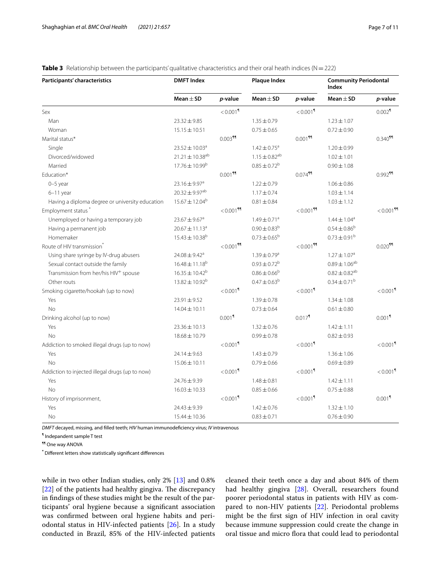## <span id="page-6-0"></span>**Table 3** Relationship between the participants' qualitative characteristics and their oral heath indices ( $N=222$ )

| Participants' characteristics                     | <b>DMFT Index</b>              |                         | <b>Plaque Index</b>           |                         | <b>Community Periodontal</b><br><b>Index</b> |                         |
|---------------------------------------------------|--------------------------------|-------------------------|-------------------------------|-------------------------|----------------------------------------------|-------------------------|
|                                                   | $Mean \pm SD$                  | p-value                 | Mean $\pm$ SD                 | p-value                 | Mean $\pm$ SD                                | p-value                 |
| Sex                                               |                                | $< 0.001$ <sup>9</sup>  |                               | $< 0.001$ <sup>9</sup>  |                                              | $0.002$                 |
| Man                                               | $23.32 \pm 9.85$               |                         | $1.35 \pm 0.79$               |                         | $1.23 \pm 1.07$                              |                         |
| Woman                                             | $15.15 \pm 10.51$              |                         | $0.75 \pm 0.65$               |                         | $0.72 \pm 0.90$                              |                         |
| Marital status*                                   |                                | $0.003$ <sup>11</sup>   |                               | $0.001$ <sup>11</sup>   |                                              | $0.340$ <sup>99</sup>   |
| Single                                            | $23.52 \pm 10.03^a$            |                         | $1.42 \pm 0.75$ <sup>a</sup>  |                         | $1.20 \pm 0.99$                              |                         |
| Divorced/widowed                                  | $21.21 \pm 10.38^{ab}$         |                         | $1.15 \pm 0.82$ <sup>ab</sup> |                         | $1.02 \pm 1.01$                              |                         |
| Married                                           | $17.76 \pm 10.99^{\rm b}$      |                         | $0.85 \pm 0.72^b$             |                         | $0.90 \pm 1.08$                              |                         |
| Education*                                        |                                | $0.001$ <sup>11</sup>   |                               | $0.074$ <sup>11</sup>   |                                              | $0.992$ <sup>11</sup>   |
| $0-5$ year                                        | $23.16 \pm 9.97$ <sup>a</sup>  |                         | $1.22 \pm 0.79$               |                         | $1.06 \pm 0.86$                              |                         |
| $6-11$ year                                       | $20.32 \pm 9.97^{ab}$          |                         | $1.17 \pm 0.74$               |                         | $1.03 \pm 1.14$                              |                         |
| Having a diploma degree or university education   | $15.67 \pm 12.04^b$            |                         | $0.81 \pm 0.84$               |                         | $1.03 \pm 1.12$                              |                         |
| Employment status*                                |                                | $< 0.001$ <sup>11</sup> |                               | $< 0.001$ <sup>99</sup> |                                              | $< 0.001$ <sup>99</sup> |
| Unemployed or having a temporary job              | $23.67 \pm 9.67^a$             |                         | $1.49 \pm 0.71$ <sup>a</sup>  |                         | $1.44 \pm 1.04^a$                            |                         |
| Having a permanent job                            | $20.67 \pm 11.13^a$            |                         | $0.90 \pm 0.83^b$             |                         | $0.54 \pm 0.86^b$                            |                         |
| Homemaker                                         | $15.43 \pm 10.38$ <sup>b</sup> |                         | $0.73 \pm 0.65^{\rm b}$       |                         | $0.73 \pm 0.91^{\rm b}$                      |                         |
| Route of HIV transmission <sup>®</sup>            |                                | $< 0.001$ <sup>99</sup> |                               | $< 0.001$ <sup>11</sup> |                                              | $0.020$ <sup>11</sup>   |
| Using share syringe by IV-drug abusers            | $24.08 \pm 9.42$ <sup>a</sup>  |                         | $1.39 \pm 0.79$ <sup>a</sup>  |                         | $1.27 \pm 1.07$ <sup>a</sup>                 |                         |
| Sexual contact outside the family                 | $16.48 \pm 11.18^{b}$          |                         | $0.93 \pm 0.72^b$             |                         | $0.89 \pm 1.06^{ab}$                         |                         |
| Transmission from her/his HIV <sup>+</sup> spouse | $16.35 \pm 10.42^b$            |                         | $0.86 \pm 0.66^b$             |                         | $0.82 \pm 0.82^{ab}$                         |                         |
| Other routs                                       | $13.82 \pm 10.92^b$            |                         | $0.47 \pm 0.63^b$             |                         | $0.34 \pm 0.71^b$                            |                         |
| Smoking cigarette/hookah (up to now)              |                                | $< 0.001$ <sup>9</sup>  |                               | $< 0.001$ <sup>9</sup>  |                                              | $< 0.001$ <sup>1</sup>  |
| Yes                                               | $23.91 \pm 9.52$               |                         | $1.39 \pm 0.78$               |                         | $1.34 \pm 1.08$                              |                         |
| <b>No</b>                                         | $14.04 \pm 10.11$              |                         | $0.73 \pm 0.64$               |                         | $0.61 \pm 0.80$                              |                         |
| Drinking alcohol (up to now)                      |                                | $0.001$ <sup>1</sup>    |                               | $0.017$ <sup>1</sup>    |                                              | $0.001$ <sup>1</sup>    |
| Yes                                               | $23.36 \pm 10.13$              |                         | $1.32 \pm 0.76$               |                         | $1.42 \pm 1.11$                              |                         |
| <b>No</b>                                         | $18.68 \pm 10.79$              |                         | $0.99 \pm 0.78$               |                         | $0.82 \pm 0.93$                              |                         |
| Addiction to smoked illegal drugs (up to now)     |                                | $< 0.001$ <sup>9</sup>  |                               | $< 0.001$ <sup>9</sup>  |                                              | $< 0.001$ <sup>9</sup>  |
| Yes                                               | $24.14 \pm 9.63$               |                         | $1.43 \pm 0.79$               |                         | $1.36 \pm 1.06$                              |                         |
| <b>No</b>                                         | $15.06 \pm 10.11$              |                         | $0.79 \pm 0.66$               |                         | $0.69 \pm 0.89$                              |                         |
| Addiction to injected illegal drugs (up to now)   |                                | $< 0.001$ <sup>9</sup>  |                               | < 0.001                 |                                              | $< 0.001$ <sup>1</sup>  |
| Yes                                               | 24.76±9.39                     |                         | $1.48 \pm 0.81$               |                         | $1.42 \pm 1.11$                              |                         |
| <b>No</b>                                         | $16.03 \pm 10.33$              |                         | $0.85 \pm 0.66$               |                         | $0.75 \pm 0.88$                              |                         |
| History of imprisonment,                          |                                | $< 0.001$ <sup>9</sup>  |                               | $< 0.001$ <sup>1</sup>  |                                              | $0.001$ <sup>1</sup>    |
| Yes                                               | $24.43 \pm 9.39$               |                         | $1.42 \pm 0.76$               |                         | $1.32 \pm 1.10$                              |                         |
| No                                                | 15.44 ± 10.36                  |                         | $0.83 \pm 0.71$               |                         | $0.76 \pm 0.90$                              |                         |

*DMFT* decayed, missing, and flled teeth; *HIV* human immunodefciency virus; *IV* intravenous

¶ Indepandent sample T test

¶¶ One way ANOVA

**\*** Diferent letters show statistically signifcant diferences

while in two other Indian studies, only 2% [[13](#page-9-13)] and 0.8%  $[22]$  $[22]$  of the patients had healthy gingiva. The discrepancy in fndings of these studies might be the result of the participants' oral hygiene because a signifcant association was confrmed between oral hygiene habits and periodontal status in HIV-infected patients [[26\]](#page-10-7). In a study conducted in Brazil, 85% of the HIV-infected patients cleaned their teeth once a day and about 84% of them had healthy gingiva [\[28](#page-10-9)]. Overall, researchers found poorer periodontal status in patients with HIV as compared to non-HIV patients [\[22\]](#page-10-3). Periodontal problems might be the frst sign of HIV infection in oral cavity because immune suppression could create the change in oral tissue and micro fora that could lead to periodontal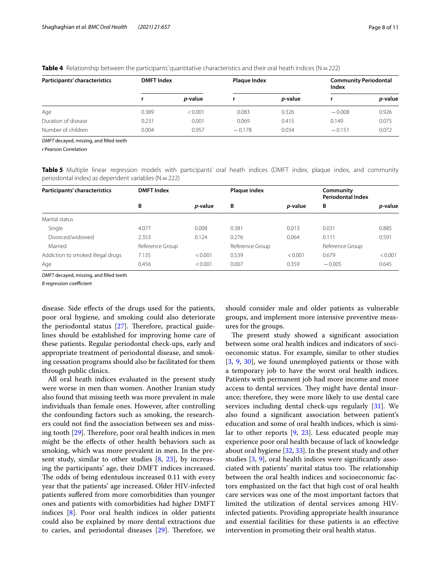| Participants' characteristics |       | <b>DMFT</b> Index |          | Plaque Index    |          | <b>Community Periodontal</b><br>Index |  |
|-------------------------------|-------|-------------------|----------|-----------------|----------|---------------------------------------|--|
|                               |       | <i>p</i> -value   |          | <i>p</i> -value |          | <i>p</i> -value                       |  |
| Age                           | 0.389 | < 0.001           | 0.083    | 0.326           | $-0.008$ | 0.926                                 |  |
| Duration of disease           | 0.231 | 0.001             | 0.069    | 0.415           | 0.149    | 0.075                                 |  |
| Number of children            | 0.004 | 0.957             | $-0.178$ | 0.034           | $-0.151$ | 0.072                                 |  |

<span id="page-7-0"></span>**Table 4** Relationship between the participants' quantitative characteristics and their oral heath indices ( $N=222$ )

*DMFT* decayed, missing, and flled teeth

*r* Pearson Correlation

<span id="page-7-1"></span>**Table 5** Multiple linear regression models with participants' oral heath indices (DMFT index, plaque index, and community periodontal index) as dependent variables ( $N=222$ )

| Participants' characteristics     | <b>DMFT</b> Index |                 | Plaque index    |                 | Community<br><b>Periodontal Index</b> |         |
|-----------------------------------|-------------------|-----------------|-----------------|-----------------|---------------------------------------|---------|
|                                   | В                 | <i>p</i> -value | B               | <i>p</i> -value | В                                     | p-value |
| Marital status                    |                   |                 |                 |                 |                                       |         |
| Single                            | 4.077             | 0.008           | 0.381           | 0.013           | 0.031                                 | 0.885   |
| Divorced/widowed                  | 2.353             | 0.124           | 0.276           | 0.064           | 0.111                                 | 0.591   |
| Married                           | Reference Group   |                 | Reference Group |                 | Reference Group                       |         |
| Addiction to smoked illegal drugs | 7.135             | < 0.001         | 0.539           | < 0.001         | 0.679                                 | < 0.001 |
| Age                               | 0.456             | < 0.001         | 0.007           | 0.359           | $-0.005$                              | 0.645   |

*DMFT* decayed, missing, and flled teeth

*B* regression coefficient

disease. Side efects of the drugs used for the patients, poor oral hygiene, and smoking could also deteriorate the periodontal status [\[27\]](#page-10-8). Therefore, practical guidelines should be established for improving home care of these patients. Regular periodontal check-ups, early and appropriate treatment of periodontal disease, and smoking cessation programs should also be facilitated for them through public clinics.

All oral heath indices evaluated in the present study were worse in men than women. Another Iranian study also found that missing teeth was more prevalent in male individuals than female ones. However, after controlling the confounding factors such as smoking, the researchers could not fnd the association between sex and missing tooth  $[29]$  $[29]$ . Therefore, poor oral health indices in men might be the efects of other health behaviors such as smoking, which was more prevalent in men. In the present study, similar to other studies [[8,](#page-9-7) [23](#page-10-4)], by increasing the participants' age, their DMFT indices increased. The odds of being edentulous increased 0.11 with every year that the patients' age increased. Older HIV-infected patients sufered from more comorbidities than younger ones and patients with comorbidities had higher DMFT indices [[8](#page-9-7)]. Poor oral health indices in older patients could also be explained by more dental extractions due to caries, and periodontal diseases  $[29]$  $[29]$ . Therefore, we should consider male and older patients as vulnerable groups, and implement more intensive preventive measures for the groups.

The present study showed a significant association between some oral health indices and indicators of socioeconomic status. For example, similar to other studies [[3,](#page-9-2) [9,](#page-9-9) [30](#page-10-11)], we found unemployed patients or those with a temporary job to have the worst oral health indices. Patients with permanent job had more income and more access to dental services. They might have dental insurance; therefore, they were more likely to use dental care services including dental check-ups regularly [[31\]](#page-10-12). We also found a signifcant association between patient's education and some of oral health indices, which is similar to other reports [[9,](#page-9-9) [23\]](#page-10-4). Less educated people may experience poor oral health because of lack of knowledge about oral hygiene [\[32,](#page-10-13) [33](#page-10-14)]. In the present study and other studies [[3](#page-9-2), [9\]](#page-9-9), oral health indices were signifcantly associated with patients' marital status too. The relationship between the oral health indices and socioeconomic factors emphasized on the fact that high cost of oral health care services was one of the most important factors that limited the utilization of dental services among HIVinfected patients. Providing appropriate health insurance and essential facilities for these patients is an efective intervention in promoting their oral health status.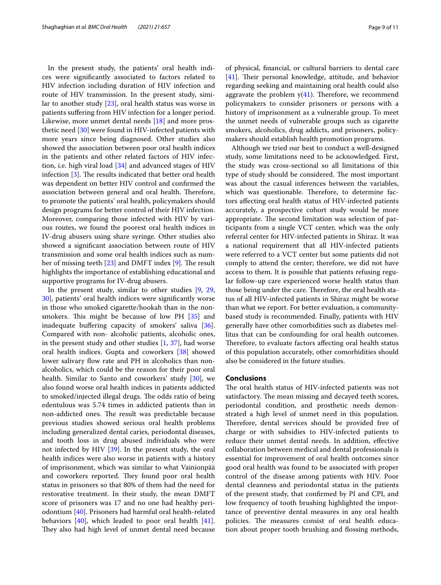In the present study, the patients' oral health indices were signifcantly associated to factors related to HIV infection including duration of HIV infection and route of HIV transmission. In the present study, similar to another study [[23\]](#page-10-4), oral health status was worse in patients sufering from HIV infection for a longer period. Likewise, more unmet dental needs [\[18](#page-9-17)] and more prosthetic need [[30](#page-10-11)] were found in HIV-infected patients with more years since being diagnosed. Other studies also showed the association between poor oral health indices in the patients and other related factors of HIV infection, i.e. high viral load [[34](#page-10-15)] and advanced stages of HIV infection  $[3]$  $[3]$ . The results indicated that better oral health was dependent on better HIV control and confrmed the association between general and oral health. Therefore, to promote the patients' oral health, policymakers should design programs for better control of their HIV infection. Moreover, comparing those infected with HIV by various routes, we found the poorest oral health indices in IV-drug abusers using share syringe. Other studies also showed a signifcant association between route of HIV transmission and some oral health indices such as number of missing teeth  $[23]$  $[23]$  and DMFT index  $[9]$  $[9]$  $[9]$ . The result highlights the importance of establishing educational and supportive programs for IV-drug abusers.

In the present study, similar to other studies [[9,](#page-9-9) [29](#page-10-10), [30\]](#page-10-11), patients' oral health indices were signifcantly worse in those who smoked cigarette/hookah than in the nonsmokers. This might be because of low PH  $[35]$  $[35]$  and inadequate buffering capacity of smokers' saliva [\[36](#page-10-17)]. Compared with non- alcoholic patients, alcoholic ones, in the present study and other studies  $[1, 37]$  $[1, 37]$  $[1, 37]$  $[1, 37]$ , had worse oral health indices. Gupta and coworkers [\[38\]](#page-10-19) showed lower salivary flow rate and PH in alcoholics than nonalcoholics, which could be the reason for their poor oral health. Similar to Santo and coworkers' study [[30](#page-10-11)], we also found worse oral health indices in patients addicted to smoked/injected illegal drugs. The odds ratio of being edentulous was 5.74 times in addicted patients than in non-addicted ones. The result was predictable because previous studies showed serious oral health problems including generalized dental caries, periodontal diseases, and tooth loss in drug abused individuals who were not infected by HIV [[39\]](#page-10-20). In the present study, the oral health indices were also worse in patients with a history of imprisonment, which was similar to what Vainionpää and coworkers reported. They found poor oral health status in prisoners so that 80% of them had the need for restorative treatment. In their study, the mean DMFT score of prisoners was 17 and no one had healthy periodontium [[40\]](#page-10-21). Prisoners had harmful oral health-related behaviors [[40\]](#page-10-21), which leaded to poor oral health [\[41](#page-10-22)]. They also had high level of unmet dental need because of physical, fnancial, or cultural barriers to dental care  $[41]$  $[41]$ . Their personal knowledge, attitude, and behavior regarding seeking and maintaining oral health could also aggravate the problem  $y(41)$  $y(41)$  $y(41)$ . Therefore, we recommend policymakers to consider prisoners or persons with a history of imprisonment as a vulnerable group. To meet the unmet needs of vulnerable groups such as cigarette smokers, alcoholics, drug addicts, and prisoners, policymakers should establish health promotion programs.

Although we tried our best to conduct a well-designed study, some limitations need to be acknowledged. First, the study was cross-sectional so all limitations of this type of study should be considered. The most important was about the casual inferences between the variables, which was questionable. Therefore, to determine factors afecting oral health status of HIV-infected patients accurately, a prospective cohort study would be more appropriate. The second limitation was selection of participants from a single VCT center, which was the only referral center for HIV-infected patients in Shiraz. It was a national requirement that all HIV-infected patients were referred to a VCT center but some patients did not comply to attend the center; therefore, we did not have access to them. It is possible that patients refusing regular follow-up care experienced worse health status than those being under the care. Therefore, the oral health status of all HIV-infected patients in Shiraz might be worse than what we report. For better evaluation, a communitybased study is recommended. Finally, patients with HIV generally have other comorbidities such as diabetes mellitus that can be confounding for oral health outcomes. Therefore, to evaluate factors affecting oral health status of this population accurately, other comorbidities should also be considered in the future studies.

## **Conclusions**

The oral health status of HIV-infected patients was not satisfactory. The mean missing and decayed teeth scores, periodontal condition, and prosthetic needs demonstrated a high level of unmet need in this population. Therefore, dental services should be provided free of charge or with subsidies to HIV-infected patients to reduce their unmet dental needs. In addition, efective collaboration between medical and dental professionals is essential for improvement of oral health outcomes since good oral health was found to be associated with proper control of the disease among patients with HIV. Poor dental cleanness and periodontal status in the patients of the present study, that confrmed by PI and CPI, and low frequency of tooth brushing highlighted the importance of preventive dental measures in any oral health policies. The measures consist of oral health education about proper tooth brushing and flossing methods,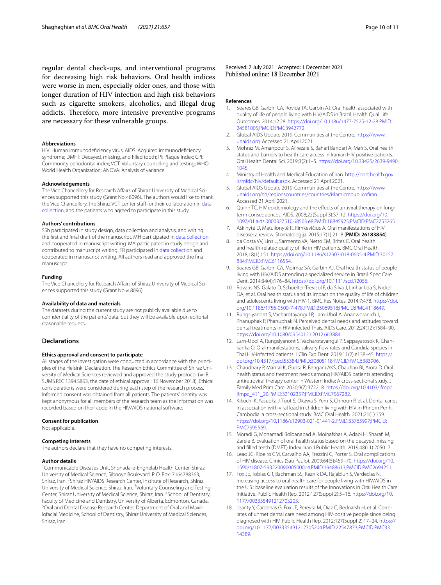regular dental check-ups, and interventional programs for decreasing high risk behaviors. Oral health indices were worse in men, especially older ones, and those with longer duration of HIV infection and high risk behaviors such as cigarette smokers, alcoholics, and illegal drug addicts. Therefore, more intensive preventive programs are necessary for these vulnerable groups.

#### **Abbreviations**

HIV: Human immunodefciency virus; AIDS: Acquired immunodefciency syndrome; DMFT: Decayed, missing, and flled tooth; PI: Plaque index; CPI: Community periodontal index; VCT: Voluntary counseling and testing; WHO: World Health Organization; ANOVA: Analysis of variance.

#### **Acknowledgements**

The Vice Chancellery for Research Afairs of Shiraz University of Medical Sciences supported this study (Grant No≠8096)**.** The authors would like to thank the Vice Chancellery, the Shiraz VCT center staff for their collaboration in data [collection](#page-1-0), and the patients who agreed to participate in this study.

#### **Authors' contributions**

SSh participated in study design, data collection and analysis, and writing the frst and fnal draft of the manuscript. MH participated in [data collection](#page-1-0) and cooperated in manuscript writing. MA participated in study design and contributed to manuscript writing. FR participated in [data collection](#page-1-0) and cooperated in manuscript writing. All authors read and approved the fnal manuscript.

#### **Funding**

The Vice Chancellery for Research Affairs of Shiraz University of Medical Sciences supported this study (Grant No≠8096).

#### **Availability of data and materials**

The datasets during the current study are not publicly available due to confdentiality of the patients' data, but they will be available upon editorial reasonable request**.**

#### **Declarations**

#### **Ethics approval and consent to participate**

All stages of the investigation were conducted in accordance with the principles of the Helsinki Declaration. The Research Ethics Committee of Shiraz University of Medical Sciences reviewed and approved the study protocol (≠IR. SUMS.REC.1394.S863, the date of ethical approval: 16 November 2018). Ethical considerations were considered during each step of the research process. Informed consent was obtained from all patients. The patients' identity was kept anonymous for all members of the research team as the information was recorded based on their code in the HIV/AIDS national software.

#### **Consent for publication**

Not applicable.

#### **Competing interests**

The authors declare that they have no competing interests.

#### **Author details**

<sup>1</sup> Communicable Diseases Unit, Shohada-e-Enghelab Health Center, Shiraz University of Medical Science, Sibooye Boulevard, P. O. Box: 7164788363, Shiraz, Iran. <sup>2</sup> Shiraz HIV/AIDS Research Center, Institute of Research, Shiraz University of Medical Science, Shiraz, Iran. <sup>3</sup>Voluntary Counseling and Testing Center, Shiraz University of Medical Science, Shiraz, Iran. 4 School of Dentistry, Faculty of Medicine and Dentistry, University of Alberta, Edmonton, Canada. 5 Oral and Dental Disease Research Center, Department of Oral and Maxillofacial Medicine, School of Dentistry, Shiraz University of Medical Sciences, Shiraz, Iran.

Received: 7 July 2021 Accepted: 1 December 2021<br>Published online: 18 December 2021

#### **References**

- <span id="page-9-0"></span>1. Soares GB, Garbin CA, Rovida TA, Garbin AJ. Oral health associated with quality of life of people living with HIV/AIDS in Brazil. Health Qual Life Outcomes. 2014;12:28. [https://doi.org/10.1186/1477-7525-12-28.PMID:](https://doi.org/10.1186/1477-7525-12-28.PMID:24581005;PMCID:PMC3942772) [24581005;PMCID:PMC3942772](https://doi.org/10.1186/1477-7525-12-28.PMID:24581005;PMCID:PMC3942772).
- <span id="page-9-1"></span>2. Global AIDS Update 2019-Communities at the Centre. [https://www.](https://www.unaids.org) [unaids.org.](https://www.unaids.org) Accessed 21 April 2021.
- <span id="page-9-2"></span>Mohraz M, Amanpour S, Alirezaie S, Bahari Bandari A, Mafi S. Oral health status and barriers to health care access in Iranian HIV positive patients. Oral Health Dental Sci. 2019;3(2):1–5. [https://doi.org/10.33425/2639-9490.](https://doi.org/10.33425/2639-9490.1045) [1045](https://doi.org/10.33425/2639-9490.1045).
- <span id="page-9-3"></span>4. Ministry of Health and Medical Education of Iran. [http://port.health.gov.](http://port.health.gov.ir/mfdc/hiv/default.aspx) [ir/mfdc/hiv/default.aspx.](http://port.health.gov.ir/mfdc/hiv/default.aspx) Accessed 21 April 2021.
- <span id="page-9-4"></span>5. Global AIDS Update 2019-Communities at the Centre. [https://www.](https://www.unaids.org/en/regionscountries/countries/islamicrepublicofiran) [unaids.org/en/regionscountries/countries/islamicrepublicofran](https://www.unaids.org/en/regionscountries/countries/islamicrepublicofiran). Accessed 21 April 2021.
- <span id="page-9-5"></span>6. Quinn TC. HIV epidemiology and the effects of antiviral therapy on longterm consequences. AIDS. 2008;22(Suppl 3):S7-12. https://doi.org/10 [1097/01.aids.0000327510.68503.e8.PMID:18845925;PMCID:PMC2753265.](https://doi.org/10.1097/01.aids.0000327510.68503.e8.PMID:18845925;PMCID:PMC2753265)
- <span id="page-9-6"></span>7. Aškinytė D, Matulionytė R, Rimkevičius A. Oral manifestations of HIV disease: a review. Stomatologija. 2015;17(1):21–8 (**PMID: 26183854**).
- <span id="page-9-7"></span>8. da Costa VV, Lins L, Sarmento VA, Netto EM, Brites C. Oral health and health-related quality of life in HIV patients. BMC Oral Health. 2018;18(1):151. [https://doi.org/10.1186/s12903-018-0605-4.PMID:30157](https://doi.org/10.1186/s12903-018-0605-4.PMID:30157834;PMCID:PMC6116554) [834;PMCID:PMC6116554.](https://doi.org/10.1186/s12903-018-0605-4.PMID:30157834;PMCID:PMC6116554)
- <span id="page-9-9"></span>9. Soares GB, Garbin CA, Moimaz SA, Garbin AJ. Oral health status of people living with HIV/AIDS attending a specialized service in Brazil. Spec Care Dent. 2014;34(4):176–84. <https://doi.org/10.1111/scd.12056>.
- <span id="page-9-10"></span>10. Rovaris NS, Galato D, Schuelter-Trevisol F, da Silva J, Linhar Lda S, Nickel DA, et al. Oral health status and its impact on the quality of life of children and adolescents living with HIV-1. BMC Res Notes. 2014;7:478. [https://doi.](https://doi.org/10.1186/1756-0500-7-478.PMID:25069518;PMCID:PMC4118649) [org/10.1186/1756-0500-7-478.PMID:25069518;PMCID:PMC4118649](https://doi.org/10.1186/1756-0500-7-478.PMID:25069518;PMCID:PMC4118649).
- <span id="page-9-11"></span>11. Rungsiyanont S, Vacharotayangul P, Lam-Ubol A, Ananworanich J, Phanuphak P, Phanuphak N. Perceived dental needs and attitudes toward dental treatments in HIV-infected Thais. AIDS Care. 2012;24(12):1584–90. <https://doi.org/10.1080/09540121.2012.663884>.
- <span id="page-9-12"></span>12. Lam-Ubol A, Rungsiyanont S, Vacharotayangul P, Sappayatosok K, Chankanka O. Oral manifestations, salivary flow rates and Candida species in Thai HIV-infected patients. J Clin Exp Dent. 2019;11(2):e138–45. [https://](https://doi.org/10.4317/jced.55384.PMID:30805118;PMCID:PMC6383906) [doi.org/10.4317/jced.55384.PMID:30805118;PMCID:PMC6383906.](https://doi.org/10.4317/jced.55384.PMID:30805118;PMCID:PMC6383906)
- <span id="page-9-13"></span>13. Chaudhary P, Manral K, Gupta R, Bengani AKS, Chauhan BI, Arora D. Oral health status and treatment needs among HIV/AIDS patients attending antiretroviral therapy center in Western India: A cross-sectional study. J Family Med Prim Care. 2020;9(7):3722–8. [https://doi.org/10.4103/jfmpc.](https://doi.org/10.4103/jfmpc.jfmpc_411_20.PMID:33102357;PMCID:PMC7567282) [jfmpc\\_411\\_20.PMID:33102357;PMCID:PMC7567282.](https://doi.org/10.4103/jfmpc.jfmpc_411_20.PMID:33102357;PMCID:PMC7567282)
- <span id="page-9-8"></span>14. Kikuchi K, Yasuoka J, Tuot S, Okawa S, Yem S, Chhoun P, et al. Dental caries in association with viral load in children living with HIV in Phnom Penh, Cambodia: a cross-sectional study. BMC Oral Health. 2021;21(1):159. [https://doi.org/10.1186/s12903-021-01441-2.PMID:33765997;PMCID:](https://doi.org/10.1186/s12903-021-01441-2.PMID:33765997;PMCID:PMC7995569) [PMC7995569](https://doi.org/10.1186/s12903-021-01441-2.PMID:33765997;PMCID:PMC7995569).
- <span id="page-9-14"></span>15. Moradi G, Mohamadi Bolbanabad A, Moinafshar A, Adabi H, Sharaf M, Zareie B. Evaluation of oral health status based on the decayed, missing and flled teeth (DMFT) Index. Iran J Public Health. 2019;48(11):2050–7.
- <span id="page-9-15"></span>16. Leao JC, Ribeiro CM, Carvalho AA, Frezzini C, Porter S. Oral complications of HIV disease. Clinics (Sao Paulo). 2009;64(5):459–70. [https://doi.org/10.](https://doi.org/10.1590/s1807-59322009000500014.PMID:19488613;PMCID:PMC2694251) [1590/s1807-59322009000500014.PMID:19488613;PMCID:PMC2694251.](https://doi.org/10.1590/s1807-59322009000500014.PMID:19488613;PMCID:PMC2694251)
- <span id="page-9-16"></span>17. Fox JE, Tobias CR, Bachman SS, Reznik DA, Rajabiun S, Verdecias N. Increasing access to oral health care for people living with HIV/AIDS in the U.S.: baseline evaluation results of the Innovations in Oral Health Care Initiative. Public Health Rep. 2012;127(Suppl 2):5–16. [https://doi.org/10.](https://doi.org/10.1177/00333549121270S203) [1177/00333549121270S203.](https://doi.org/10.1177/00333549121270S203)
- <span id="page-9-17"></span>18. Jeanty Y, Cardenas G, Fox JE, Pereyra M, Diaz C, Bednarsh H, et al. Correlates of unmet dental care need among HIV-positive people since being diagnosed with HIV. Public Health Rep. 2012;127(Suppl 2):17–24. [https://](https://doi.org/10.1177/00333549121270S204.PMID:22547873;PMCID:PMC3314389) [doi.org/10.1177/00333549121270S204.PMID:22547873;PMCID:PMC33](https://doi.org/10.1177/00333549121270S204.PMID:22547873;PMCID:PMC3314389) [14389](https://doi.org/10.1177/00333549121270S204.PMID:22547873;PMCID:PMC3314389).